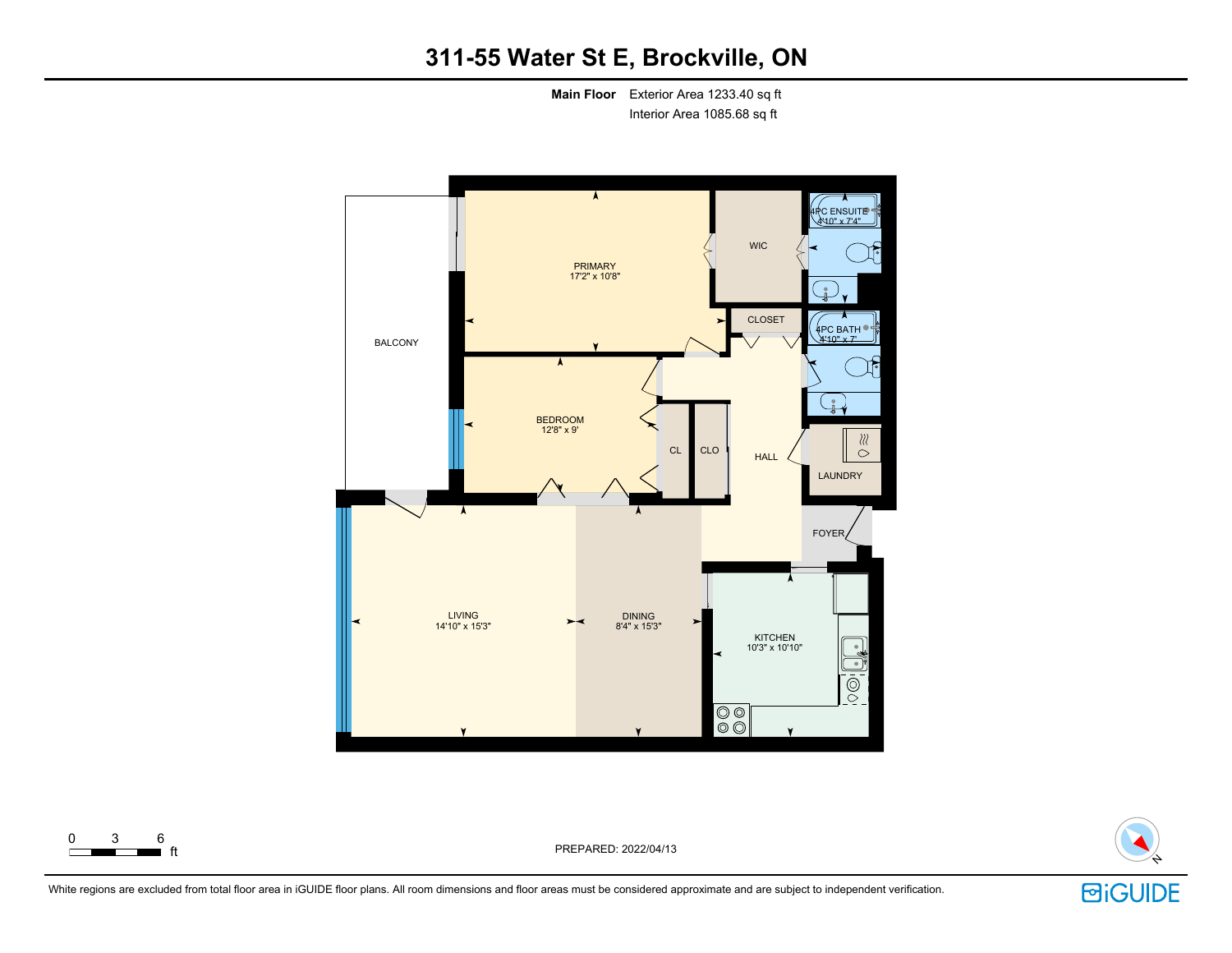# **311-55 Water St E, Brockville, ON**

**Main Floor** Exterior Area 1233.40 sq ft Interior Area 1085.68 sq ft







White regions are excluded from total floor area in iGUIDE floor plans. All room dimensions and floor areas must be considered approximate and are subject to independent verification.

 $0 \t 3 \t 6$ <br>the ft

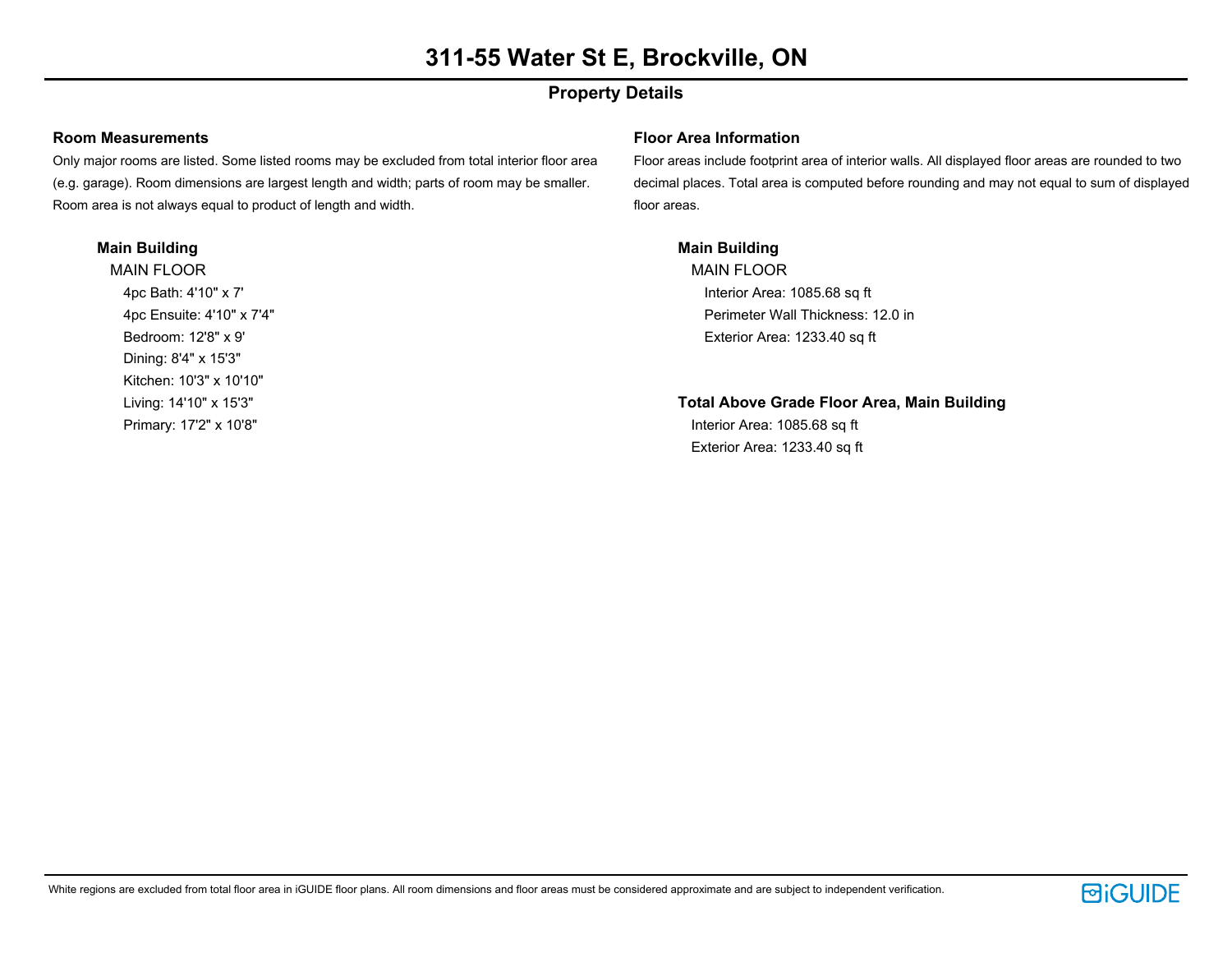## **Property Details**

### **Room Measurements**

Only major rooms are listed. Some listed rooms may be excluded from total interior floor area (e.g. garage). Room dimensions are largest length and width; parts of room may be smaller. Room area is not always equal to product of length and width.

### **Main Building**

MAIN FLOOR 4pc Bath: 4'10" x 7' 4pc Ensuite: 4'10" x 7'4" Bedroom: 12'8" x 9' Dining: 8'4" x 15'3" Kitchen: 10'3" x 10'10" Living: 14'10" x 15'3" Primary: 17'2" x 10'8"

### **Floor Area Information**

Floor areas include footprint area of interior walls. All displayed floor areas are rounded to two decimal places. Total area is computed before rounding and may not equal to sum of displayed floor areas.

### **Main Building**

MAIN FLOOR Interior Area: 1085.68 sq ft Perimeter Wall Thickness: 12.0 in Exterior Area: 1233.40 sq ft

# **Total Above Grade Floor Area, Main Building**

Interior Area: 1085.68 sq ft Exterior Area: 1233.40 sq ft